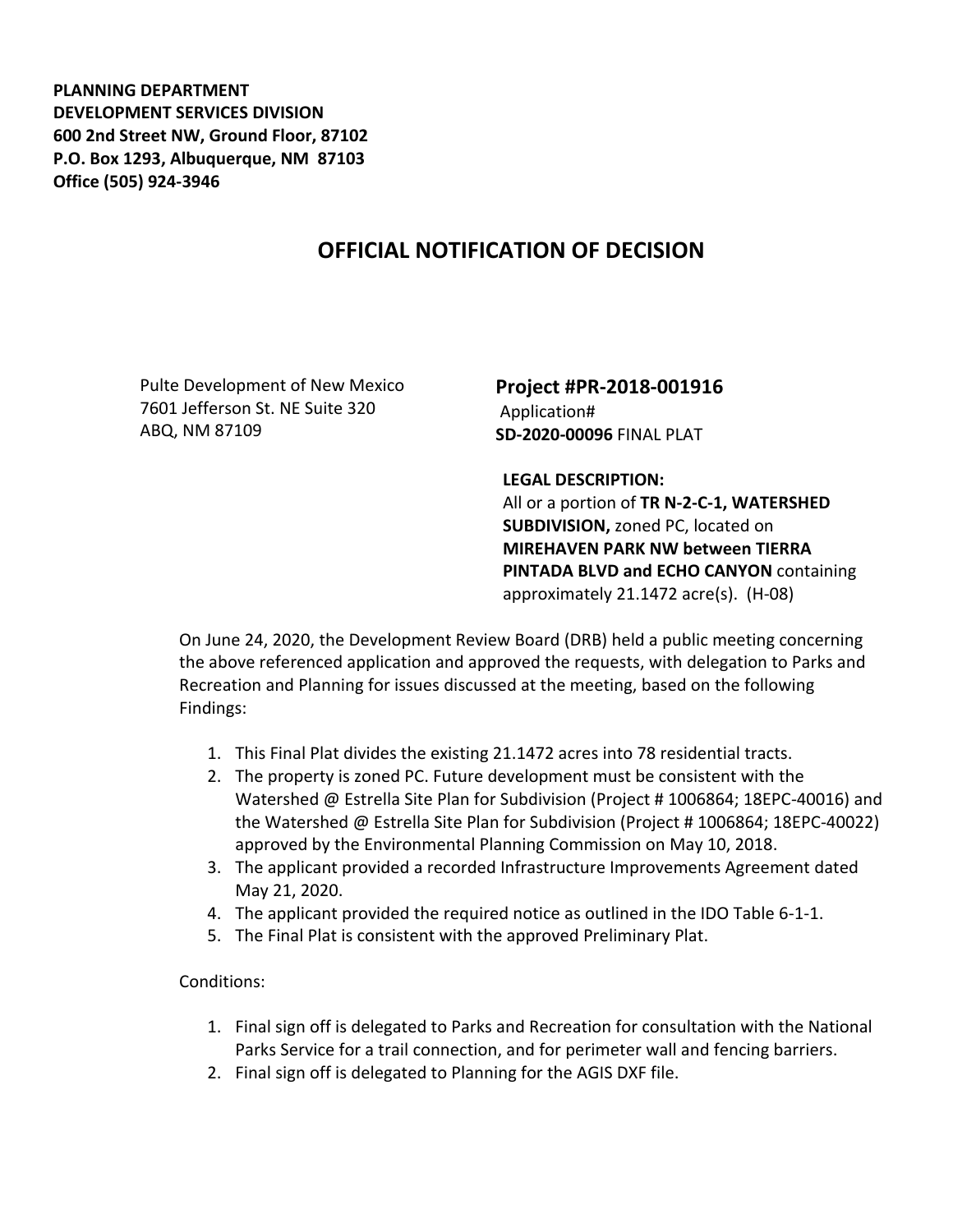**PLANNING DEPARTMENT DEVELOPMENT SERVICES DIVISION 600 2nd Street NW, Ground Floor, 87102 P.O. Box 1293, Albuquerque, NM 87103 Office (505) 924-3946** 

## **OFFICIAL NOTIFICATION OF DECISION**

Pulte Development of New Mexico 7601 Jefferson St. NE Suite 320 ABQ, NM 87109

**Project #PR-2018-001916** Application# **SD-2020-00096** FINAL PLAT

**LEGAL DESCRIPTION:**

All or a portion of **TR N-2-C-1, WATERSHED SUBDIVISION,** zoned PC, located on **MIREHAVEN PARK NW between TIERRA PINTADA BLVD and ECHO CANYON** containing approximately 21.1472 acre(s). (H-08)

On June 24, 2020, the Development Review Board (DRB) held a public meeting concerning the above referenced application and approved the requests, with delegation to Parks and Recreation and Planning for issues discussed at the meeting, based on the following Findings:

- 1. This Final Plat divides the existing 21.1472 acres into 78 residential tracts.
- 2. The property is zoned PC. Future development must be consistent with the Watershed @ Estrella Site Plan for Subdivision (Project # 1006864; 18EPC-40016) and the Watershed @ Estrella Site Plan for Subdivision (Project # 1006864; 18EPC-40022) approved by the Environmental Planning Commission on May 10, 2018.
- 3. The applicant provided a recorded Infrastructure Improvements Agreement dated May 21, 2020.
- 4. The applicant provided the required notice as outlined in the IDO Table 6-1-1.
- 5. The Final Plat is consistent with the approved Preliminary Plat.

Conditions:

- 1. Final sign off is delegated to Parks and Recreation for consultation with the National Parks Service for a trail connection, and for perimeter wall and fencing barriers.
- 2. Final sign off is delegated to Planning for the AGIS DXF file.